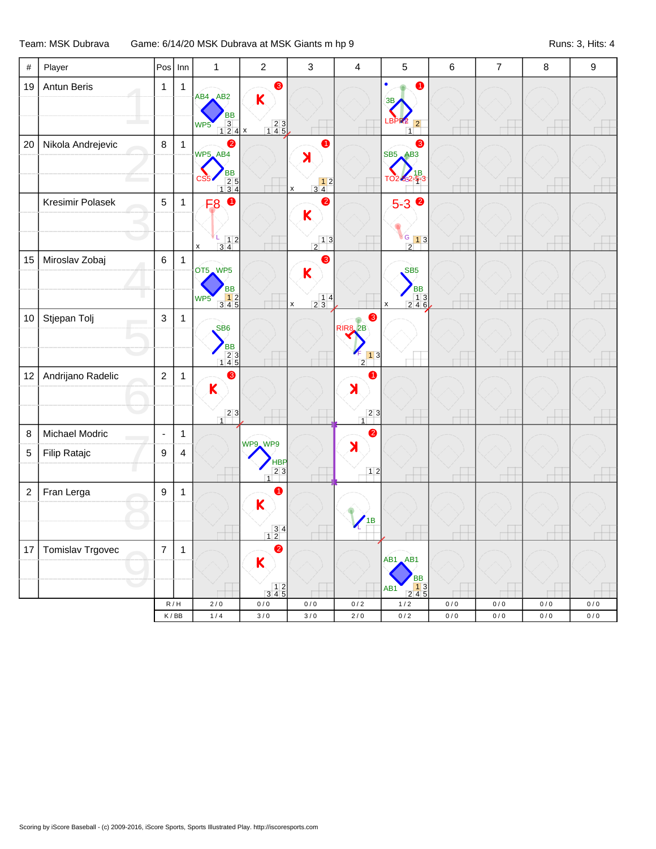Team: MSK Dubrava Game: 6/14/20 MSK Dubrava at MSK Giants m hp 9 Runs: 3, Hits: 4

| $\#$             | Player            | Pos              | Inn                                | $\mathbf{1}$                                                                           | $\overline{2}$                                             | $\mathfrak{Z}$                                                                              | $\overline{4}$                                              | 5                                                                                    | $\,6$      | $\overline{7}$   | $\, 8$     | $\boldsymbol{9}$   |
|------------------|-------------------|------------------|------------------------------------|----------------------------------------------------------------------------------------|------------------------------------------------------------|---------------------------------------------------------------------------------------------|-------------------------------------------------------------|--------------------------------------------------------------------------------------|------------|------------------|------------|--------------------|
| 19               | Antun Beris       | $\mathbf{1}$     | $\mathbf{1}$                       | $AB4$ $AB2$<br><b>BB</b><br>$\begin{array}{c c}\n3 & \\ 1 & 2 & 4\n\end{array}$<br>WP5 | $\bullet$<br>K<br>$\begin{array}{c} 23 \\ 145 \end{array}$ |                                                                                             |                                                             | 0<br>3B<br><b>LBPR2</b><br> 2 <br>$\overline{1}$                                     |            |                  |            |                    |
| 20               | Nikola Andrejevic | $\bf 8$          | $\mathbf{1}$                       | 2<br>WP5_AB4<br><b>BB</b><br>$\begin{array}{r} 25 \\ 25 \\ 134 \end{array}$            |                                                            | 0<br>$\blacktriangleright$<br>$\begin{array}{c} 12 \\ 34 \end{array}$<br>$\pmb{\mathsf{X}}$ |                                                             | ❸<br><b>SB5 AB3</b><br>TO2-6-2-5-3                                                   |            |                  |            |                    |
|                  | Kresimir Polasek  | $\sqrt{5}$       | $\mathbf{1}$                       | $\bullet$<br>F <sub>8</sub><br>$\begin{array}{c} 1 & 1 \\ 3 & 4 \end{array}$<br>X      |                                                            | $\bullet$<br>K<br>$\frac{1}{2}$                                                             |                                                             | $5-3$ $\circ$<br>G 13<br>$\overline{2}$                                              |            |                  |            |                    |
| 15               | Miroslav Zobaj    | $\,6\,$          | $\mathbf{1}$                       | OT5 WP5<br><b>BB</b><br>$\begin{array}{c} 12 \\ 345 \end{array}$<br>WP <sub>5</sub>    |                                                            | ❸<br>K<br>$\begin{array}{c c} & 1 & 4 \\ 2 & 3 & \end{array}$<br>$\pmb{\times}$             |                                                             | SB <sub>5</sub><br><b>BB</b><br>$\begin{array}{c} 13 \\ 246 \end{array}$<br>x        |            |                  |            |                    |
| 10               | Stjepan Tolj      | $\mathsf 3$      | $\mathbf{1}$                       | SB <sub>6</sub><br>BB<br>23<br>145                                                     |                                                            |                                                                                             | ❸<br><b>RIR8</b> 2B<br>$\frac{4}{2}$ 1 3                    |                                                                                      |            |                  |            |                    |
| 12               | Andrijano Radelic | $\sqrt{2}$       | $\mathbf{1}$                       | ❸<br>$\overline{\mathsf{K}}$<br>$23$<br>$\overline{1}$                                 |                                                            |                                                                                             | 6<br>$\blacktriangleright$<br>$\boxed{2}$<br>$\overline{1}$ |                                                                                      |            |                  |            |                    |
| 8                | Michael Modric    | $\blacksquare$   | $\mathbf{1}$                       |                                                                                        |                                                            |                                                                                             | $\bullet$                                                   |                                                                                      |            |                  |            |                    |
| 5                | Filip Ratajc<br>O | 9                | 4                                  |                                                                                        | WP9 WP9<br><b>HBP</b><br>23<br>1                           |                                                                                             | $\blacktriangleright$<br>12                                 |                                                                                      |            |                  |            |                    |
| $\boldsymbol{2}$ | Fran Lerga        | 9                | $\mathbf{1}$                       |                                                                                        | 0<br>K<br>$\begin{array}{c} 3 & 4 \\ 1 & 2 \end{array}$    |                                                                                             | 1B                                                          |                                                                                      |            |                  |            |                    |
| 17               | Tomislav Trgovec  | $\boldsymbol{7}$ | $\mathbf{1}$                       |                                                                                        | ❷<br>$\overline{\mathsf{K}}$                               |                                                                                             |                                                             | AB1 AB1<br>BB                                                                        |            |                  |            |                    |
|                  |                   |                  |                                    |                                                                                        | $\begin{array}{c} 12 \\ 345 \end{array}$                   |                                                                                             |                                                             | $\begin{array}{ c c c }\n\hline\n1 & 3 \\ 2 & 4 & 5\n\end{array}$<br>AB <sub>1</sub> |            |                  |            |                    |
|                  |                   |                  | R/H<br>$\mathsf K\,/\,\mathsf{BB}$ | $2/0$<br>$1/4$                                                                         | $0/0$<br>$3/0$                                             | 0/0<br>$3/0$                                                                                | 0/2<br>$2/0$                                                | $1/2$<br>$0\,/\,2$                                                                   | 0/0<br>0/0 | 0/0<br>$0\,/\,0$ | 0/0<br>0/0 | $0/0$<br>$0\,/\,0$ |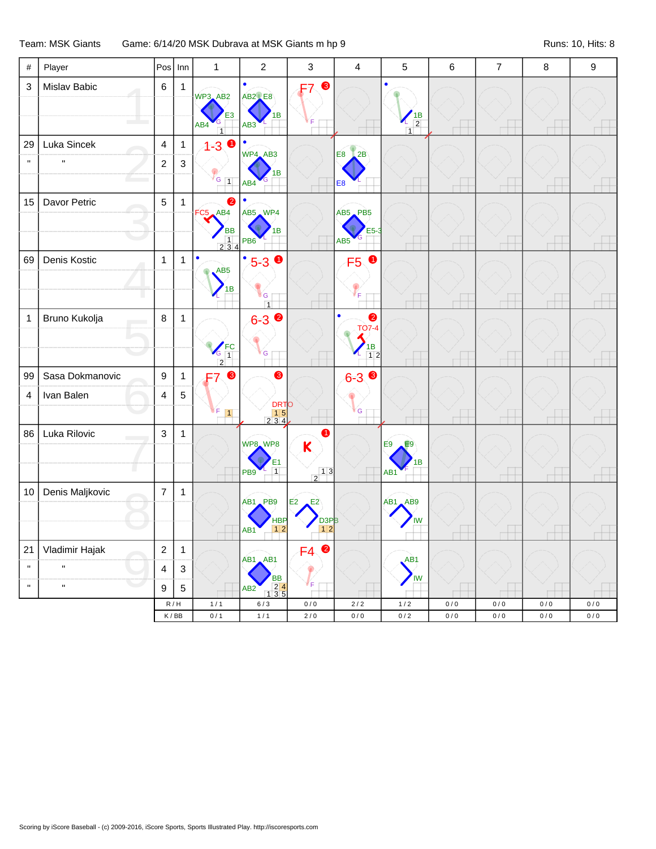## Team: MSK Giants Game: 6/14/20 MSK Dubrava at MSK Giants m hp 9 Runs: 10, Hits: 8

| $\#$                     | Player                      | Pos                              | Inn                                                      | $\mathbf{1}$                                                       | $\overline{2}$                                 | 3                                                           | $\overline{4}$                                                             | 5                                 | $\,6$      | $\overline{7}$ | 8     | 9     |
|--------------------------|-----------------------------|----------------------------------|----------------------------------------------------------|--------------------------------------------------------------------|------------------------------------------------|-------------------------------------------------------------|----------------------------------------------------------------------------|-----------------------------------|------------|----------------|-------|-------|
| 3                        | Mislav Babic                | $\,6\,$                          | $\mathbf{1}$                                             | WP3_AB2<br>E <sub>3</sub><br>AB4<br>$\overline{1}$                 | <b>AB2</b> E8<br>1B<br>AB <sub>3</sub>         | ❸<br>F7.                                                    |                                                                            | $\frac{1}{2}$<br>$\overline{1}$   |            |                |       |       |
| 29<br>$\pmb{\mathsf{H}}$ | Luka Sincek<br>$\mathbf{H}$ | $\overline{4}$<br>$\overline{c}$ | $\mathbf{1}$<br>$\mathbf{3}$                             | $1 - 3$<br>$\blacksquare$<br>$V_{G_{1}}$                           | WP4_AB3<br>1B<br>AB4                           |                                                             | E <sub>8</sub><br>2B<br>E <sub>8</sub>                                     |                                   |            |                |       |       |
| 15                       | Davor Petric                | 5                                | $\mathbf{1}$                                             | $\bullet$<br>FC5 AB4<br><b>BB</b><br>$\frac{1}{2}$ $\frac{1}{3}$ 4 | AB5 WP4<br>1В<br>PB <sub>6</sub>               |                                                             | AB5 PB5<br>$E5-3$<br>AB <sub>5</sub>                                       |                                   |            |                |       |       |
| 69                       | Denis Kostic                | $\mathbf{1}$                     | $\mathbf{1}$                                             | $\bullet$<br>AB5<br>1B                                             | $5 - 30$<br>G<br>$\overline{1}$                |                                                             | $\bullet$<br>F <sub>5</sub><br>∛F.                                         |                                   |            |                |       |       |
| $\mathbf 1$              | Bruno Kukolja               | $\,8\,$                          | $\mathbf{1}$                                             | $\sqrt{\frac{FC}{C}}$ 1                                            | $6 - 3$ $\bullet$<br>G                         |                                                             | $\bullet$<br><b>TO7-4</b><br>$\begin{array}{c} \n 1B \\  12\n \end{array}$ |                                   |            |                |       |       |
| 99                       | Sasa Dokmanovic             | $\boldsymbol{9}$                 | $\mathbf{1}$                                             | $\bullet$                                                          | ❸                                              |                                                             | $6 - 3$                                                                    |                                   |            |                |       |       |
| 4                        | Ivan Balen                  | 4                                | 5                                                        | F<br>$\vert$ 1                                                     | DRTO<br>15<br>234                              |                                                             | G                                                                          |                                   |            |                |       |       |
| 86                       | Luka Rilovic                | 3                                | $\mathbf{1}$                                             |                                                                    | WP8 WP8<br>$\frac{1}{1}$<br>PB9                | 4<br>K<br>$\frac{1}{2}$ <sup>1</sup>                        |                                                                            | E9<br>E9<br>1B<br>AB <sub>1</sub> |            |                |       |       |
| 10                       | Denis Maljkovic             | $\overline{7}$                   | $\mathbf{1}$                                             |                                                                    | AB1 PB9<br><b>HBP</b><br>12<br>AB <sub>1</sub> | E <sub>2</sub><br>E2<br>D <sub>3PB</sub><br>$1\overline{2}$ |                                                                            | AB1 AB9<br><b>IW</b>              |            |                |       |       |
| 21                       | Vladimir Hajak              | $\sqrt{2}$                       | $\mathbf{1}$                                             |                                                                    |                                                | $\bullet$<br>F <sub>4</sub>                                 |                                                                            |                                   |            |                |       |       |
| $\mathbf{H}$             | $\mathbf{H}$                | $\overline{\mathbf{4}}$          | $\mathbf{3}$                                             |                                                                    | AB1 AB1                                        |                                                             |                                                                            | AB <sub>1</sub><br>IW             |            |                |       |       |
| $\mathbf H$              | $\mathbf{H}$                | 9                                | $\overline{5}$                                           |                                                                    | BB<br>1 2 4<br>1 3 5<br>AB <sub>2</sub>        | F                                                           |                                                                            |                                   |            |                |       |       |
|                          |                             |                                  | $\mathsf R\,/\,\mathsf H$<br>$\mathsf K\,/\,\mathsf{BB}$ | $1/1$<br>0/1                                                       | 6/3                                            | 0/0                                                         | $2/2$<br>0/0                                                               | $1/2$                             | 0/0<br>0/0 | 0/0            | 0/0   | 0/0   |
|                          |                             |                                  |                                                          |                                                                    | $1/1$                                          | $2\,/\,0$                                                   |                                                                            | $0\,/\,2$                         |            | $0\,/\,0$      | $0/0$ | $0/0$ |